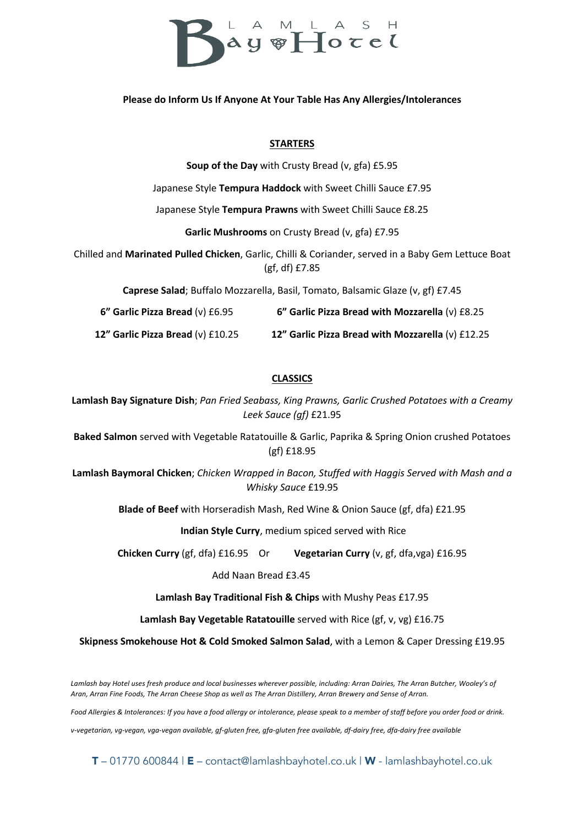

#### **Please do Inform Us If Anyone At Your Table Has Any Allergies/Intolerances**

# **STARTERS**

**Soup of the Day** with Crusty Bread (v, gfa) £5.95

Japanese Style **Tempura Haddock** with Sweet Chilli Sauce £7.95

Japanese Style **Tempura Prawns** with Sweet Chilli Sauce £8.25

**Garlic Mushrooms** on Crusty Bread (v, gfa) £7.95

Chilled and **Marinated Pulled Chicken**, Garlic, Chilli & Coriander, served in a Baby Gem Lettuce Boat (gf, df) £7.85

**Caprese Salad**; Buffalo Mozzarella, Basil, Tomato, Balsamic Glaze (v, gf) £7.45

**6" Garlic Pizza Bread** (v) £6.95 **6" Garlic Pizza Bread with Mozzarella** (v) £8.25

**12" Garlic Pizza Bread** (v) £10.25 **12" Garlic Pizza Bread with Mozzarella** (v) £12.25

## **CLASSICS**

**Lamlash Bay Signature Dish**; *Pan Fried Seabass, King Prawns, Garlic Crushed Potatoes with a Creamy Leek Sauce (gf)* £21.95

**Baked Salmon** served with Vegetable Ratatouille & Garlic, Paprika & Spring Onion crushed Potatoes (gf) £18.95

**Lamlash Baymoral Chicken**; *Chicken Wrapped in Bacon, Stuffed with Haggis Served with Mash and a Whisky Sauce* £19.95

**Blade of Beef** with Horseradish Mash, Red Wine & Onion Sauce (gf, dfa) £21.95

**Indian Style Curry**, medium spiced served with Rice

**Chicken Curry** (gf, dfa) £16.95 Or **Vegetarian Curry** (v, gf, dfa,vga) £16.95

Add Naan Bread £3.45

**Lamlash Bay Traditional Fish & Chips** with Mushy Peas £17.95

**Lamlash Bay Vegetable Ratatouille** served with Rice (gf, v, vg) £16.75

**Skipness Smokehouse Hot & Cold Smoked Salmon Salad**, with a Lemon & Caper Dressing £19.95

*Lamlash bay Hotel uses fresh produce and local businesses wherever possible, including: Arran Dairies, The Arran Butcher, Wooley's of Aran, Arran Fine Foods, The Arran Cheese Shop as well as The Arran Distillery, Arran Brewery and Sense of Arran.*

*Food Allergies & Intolerances: If you have a food allergy or intolerance, please speak to a member of staff before you order food or drink.*

*v-vegetarian, vg-vegan, vga-vegan available, gf-gluten free, gfa-gluten free available, df-dairy free, dfa-dairy free available*

T – 01770 600844 | E – contact@lamlashbayhotel.co.uk | W - lamlashbayhotel.co.uk